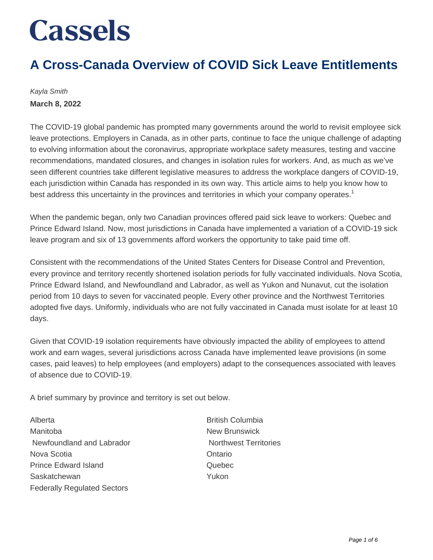## **A Cross-Canada Overview of COVID Sick Leave Entitlements**

Kayla Smith **March 8, 2022**

The COVID-19 global pandemic has prompted many governments around the world to revisit employee sick leave protections. Employers in Canada, as in other parts, continue to face the unique challenge of adapting to evolving information about the coronavirus, appropriate workplace safety measures, testing and vaccine recommendations, mandated closures, and changes in isolation rules for workers. And, as much as we've seen different countries take different legislative measures to address the workplace dangers of COVID-19, each jurisdiction within Canada has responded in its own way. This article aims to help you know how to best address this uncertainty in the provinces and territories in which your company operates.<sup>1</sup>

When the pandemic began, only two Canadian provinces offered paid sick leave to workers: Quebec and Prince Edward Island. Now, most jurisdictions in Canada have implemented a variation of a COVID-19 sick leave program and six of 13 governments afford workers the opportunity to take paid time off.

Consistent with the recommendations of the United States Centers for Disease Control and Prevention, every province and territory recently shortened isolation periods for fully vaccinated individuals. Nova Scotia, Prince Edward Island, and Newfoundland and Labrador, as well as Yukon and Nunavut, cut the isolation period from 10 days to seven for vaccinated people. Every other province and the Northwest Territories adopted five days. Uniformly, individuals who are not fully vaccinated in Canada must isolate for at least 10 days.

Given that COVID-19 isolation requirements have obviously impacted the ability of employees to attend work and earn wages, several jurisdictions across Canada have implemented leave provisions (in some cases, paid leaves) to help employees (and employers) adapt to the consequences associated with leaves of absence due to COVID-19.

A brief summary by province and territory is set out below.

Alberta **British Columbia** Manitoba **New Brunswick** Newfoundland and Labrador Northwest Territories Nova Scotia Ontario Prince Edward Island **Quebec** Saskatchewan **Yukon** Federally Regulated Sectors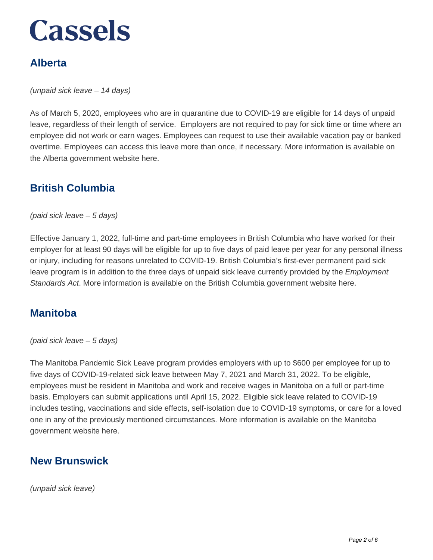## **Alberta**

(unpaid sick leave – 14 days)

As of March 5, 2020, employees who are in quarantine due to COVID-19 are eligible for 14 days of unpaid leave, regardless of their length of service. Employers are not required to pay for sick time or time where an employee did not work or earn wages. Employees can request to use their available vacation pay or banked overtime. Employees can access this leave more than once, if necessary. More information is available on the Alberta government website here.

### **British Columbia**

(paid sick leave – 5 days)

Effective January 1, 2022, full-time and part-time employees in British Columbia who have worked for their employer for at least 90 days will be eligible for up to five days of paid leave per year for any personal illness or injury, including for reasons unrelated to COVID-19. British Columbia's first-ever permanent paid sick leave program is in addition to the three days of unpaid sick leave currently provided by the *Employment* Standards Act. More information is available on the British Columbia government website here.

### **Manitoba**

(paid sick leave – 5 days)

The Manitoba Pandemic Sick Leave program provides employers with up to \$600 per employee for up to five days of COVID-19-related sick leave between May 7, 2021 and March 31, 2022. To be eligible, employees must be resident in Manitoba and work and receive wages in Manitoba on a full or part-time basis. Employers can submit applications until April 15, 2022. Eligible sick leave related to COVID-19 includes testing, vaccinations and side effects, self-isolation due to COVID-19 symptoms, or care for a loved one in any of the previously mentioned circumstances. More information is available on the Manitoba government website here.

### **New Brunswick**

(unpaid sick leave)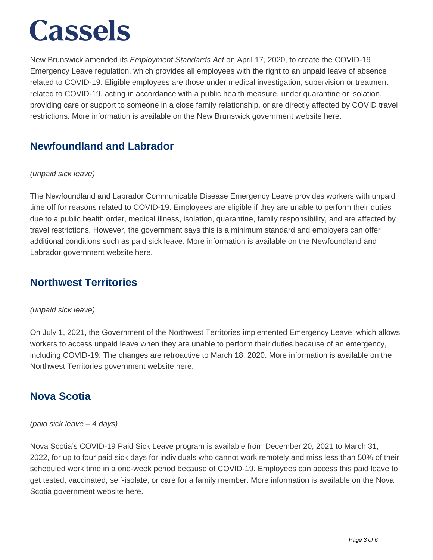New Brunswick amended its *Employment Standards Act* on April 17, 2020, to create the COVID-19 Emergency Leave regulation, which provides all employees with the right to an unpaid leave of absence related to COVID-19. Eligible employees are those under medical investigation, supervision or treatment related to COVID-19, acting in accordance with a public health measure, under quarantine or isolation, providing care or support to someone in a close family relationship, or are directly affected by COVID travel restrictions. More information is available on the New Brunswick government website here.

### **Newfoundland and Labrador**

#### (unpaid sick leave)

The Newfoundland and Labrador Communicable Disease Emergency Leave provides workers with unpaid time off for reasons related to COVID-19. Employees are eligible if they are unable to perform their duties due to a public health order, medical illness, isolation, quarantine, family responsibility, and are affected by travel restrictions. However, the government says this is a minimum standard and employers can offer additional conditions such as paid sick leave. More information is available on the Newfoundland and Labrador government website here.

### **Northwest Territories**

#### (unpaid sick leave)

On July 1, 2021, the Government of the Northwest Territories implemented Emergency Leave, which allows workers to access unpaid leave when they are unable to perform their duties because of an emergency, including COVID-19. The changes are retroactive to March 18, 2020. More information is available on the Northwest Territories government website here.

### **Nova Scotia**

#### (paid sick leave – 4 days)

Nova Scotia's COVID-19 Paid Sick Leave program is available from December 20, 2021 to March 31, 2022, for up to four paid sick days for individuals who cannot work remotely and miss less than 50% of their scheduled work time in a one-week period because of COVID-19. Employees can access this paid leave to get tested, vaccinated, self-isolate, or care for a family member. More information is available on the Nova Scotia government website here.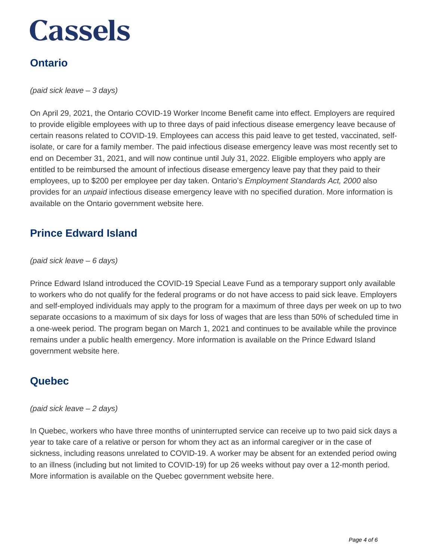## **Ontario**

(paid sick leave – 3 days)

On April 29, 2021, the Ontario COVID-19 Worker Income Benefit came into effect. Employers are required to provide eligible employees with up to three days of paid infectious disease emergency leave because of certain reasons related to COVID-19. Employees can access this paid leave to get tested, vaccinated, selfisolate, or care for a family member. The paid infectious disease emergency leave was most recently set to end on December 31, 2021, and will now continue until July 31, 2022. Eligible employers who apply are entitled to be reimbursed the amount of infectious disease emergency leave pay that they paid to their employees, up to \$200 per employee per day taken. Ontario's *Employment Standards Act, 2000* also provides for an *unpaid* infectious disease emergency leave with no specified duration. More information is available on the Ontario government website here.

### **Prince Edward Island**

#### (paid sick leave – 6 days)

Prince Edward Island introduced the COVID-19 Special Leave Fund as a temporary support only available to workers who do not qualify for the federal programs or do not have access to paid sick leave. Employers and self-employed individuals may apply to the program for a maximum of three days per week on up to two separate occasions to a maximum of six days for loss of wages that are less than 50% of scheduled time in a one-week period. The program began on March 1, 2021 and continues to be available while the province remains under a public health emergency. More information is available on the Prince Edward Island government website here.

#### **Quebec**

#### (paid sick leave – 2 days)

In Quebec, workers who have three months of uninterrupted service can receive up to two paid sick days a year to take care of a relative or person for whom they act as an informal caregiver or in the case of sickness, including reasons unrelated to COVID-19. A worker may be absent for an extended period owing to an illness (including but not limited to COVID-19) for up 26 weeks without pay over a 12-month period. More information is available on the Quebec government website here.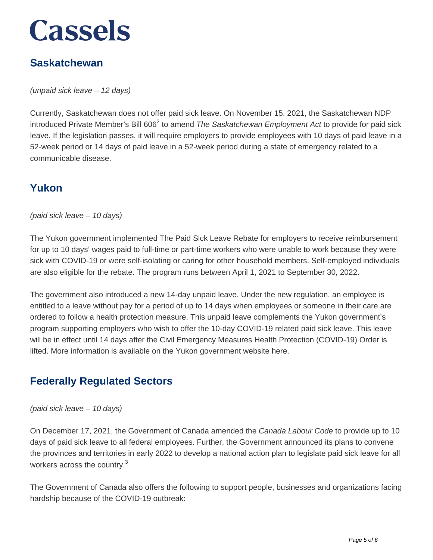### **Saskatchewan**

(unpaid sick leave – 12 days)

Currently, Saskatchewan does not offer paid sick leave. On November 15, 2021, the Saskatchewan NDP introduced Private Member's Bill 606<sup>2</sup> to amend *The Saskatchewan Employment Act* to provide for paid sick leave. If the legislation passes, it will require employers to provide employees with 10 days of paid leave in a 52-week period or 14 days of paid leave in a 52-week period during a state of emergency related to a communicable disease.

### **Yukon**

(paid sick leave – 10 days)

The Yukon government implemented The Paid Sick Leave Rebate for employers to receive reimbursement for up to 10 days' wages paid to full-time or part-time workers who were unable to work because they were sick with COVID-19 or were self-isolating or caring for other household members. Self-employed individuals are also eligible for the rebate. The program runs between April 1, 2021 to September 30, 2022.

The government also introduced a new 14-day unpaid leave. Under the new regulation, an employee is entitled to a leave without pay for a period of up to 14 days when employees or someone in their care are ordered to follow a health protection measure. This unpaid leave complements the Yukon government's program supporting employers who wish to offer the 10-day COVID-19 related paid sick leave. This leave will be in effect until 14 days after the Civil Emergency Measures Health Protection (COVID-19) Order is lifted. More information is available on the Yukon government website here.

### **Federally Regulated Sectors**

(paid sick leave – 10 days)

On December 17, 2021, the Government of Canada amended the Canada Labour Code to provide up to 10 days of paid sick leave to all federal employees. Further, the Government announced its plans to convene the provinces and territories in early 2022 to develop a national action plan to legislate paid sick leave for all workers across the country. $3$ 

The Government of Canada also offers the following to support people, businesses and organizations facing hardship because of the COVID-19 outbreak: